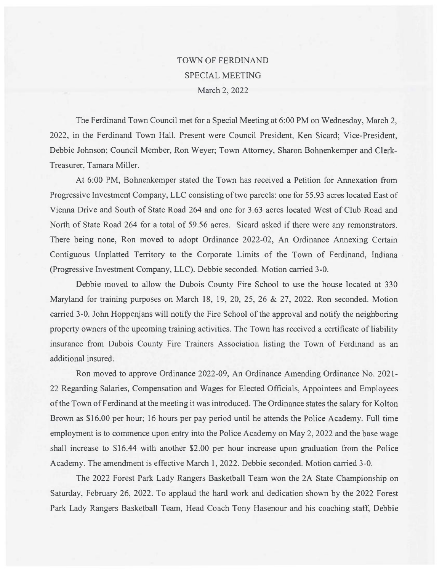# TOWN OF FERDINAND SPECIAL MEETING March 2, 2022

The Ferdinand Town Council met for a Special Meeting at 6:00 PM on Wednesday, March 2, 2022, in the Ferdinand Town Hall. Present were Council President, Ken Sicard; Vice-President, Debbie Johnson; Council Member, Ron Weyer; Town Attorney, Sharon Bohnenkemper and Clerk-Treasurer, Tamara Miller.

At 6:00 PM, Bohnenkemper stated the Town has received a Petition for Annexation from Progressive Investment Company, LLC consisting of two parcels: one for 55.93 acres located East of Vienna Drive and South of State Road 264 and one for 3.63 acres located West of Club Road and North of State Road 264 for a total of 59.56 acres. Sicard asked if there were any remonstrators. There being none, Ron moved to adopt Ordinance 2022-02, An Ordinance Annexing Certain Contiguous Unplatted Territory to the Corporate Limits of the Town of Ferdinand, Indiana (Progressive Investment Company, LLC). Debbie seconded. Motion carried 3-0.

Debbie moved to allow the Dubois County Fire School to use the house located at 330 Maryland for training purposes on March 18, 19, 20, 25, 26 & 27, 2022. Ron seconded. Motion carried 3-0. John Hoppenjans will notify the Fire School of the approval and notify the neighboring property owners of the upcoming training activities. The Town has received a certificate of liability insurance from Dubois County Fire Trainers Association listing the Town of Ferdinand as an additional insured.

Ron moved to approve Ordinance 2022-09, An Ordinance Amending Ordinance No. 2021- 22 Regarding Salaries, Compensation and Wages for Elected Officials, Appointees and Employees of the Town of Ferdinand at the meeting it was introduced. The Ordinance states the salary for Kolton Brown as \$16.00 per hour; 16 hours per pay period until he attends the Police Academy. Full time employment is to commence upon entry into the Police Academy on May 2, 2022 and the base wage shall increase to \$16.44 with another \$2.00 per hour increase upon graduation from the Police Academy. The amendment is effective March 1, 2022. Debbie seconded. Motion carried 3-0.

The 2022 Forest Park Lady Rangers Basketball Team won the 2A State Championship on Saturday, February 26, 2022. To applaud the hard work and dedication shown by the 2022 Forest Park Lady Rangers Basketball Team, Head Coach Tony Hasenour and his coaching staff, Debbie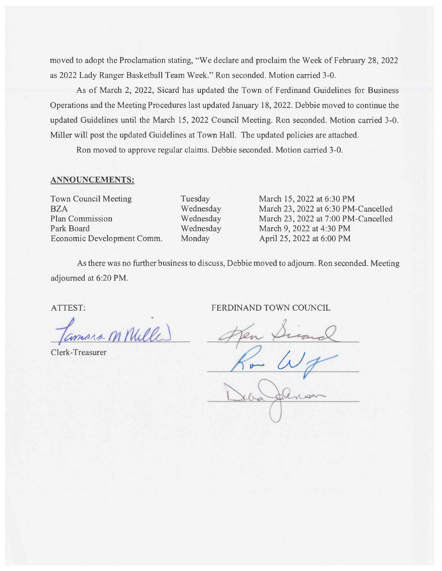moved to adopt the Proclamation stating, "We declare and proclaim the Week of February 28, 2022 as 2022 Lady Ranger Basketball Team Week." Ron seconded. Motion carried 3-0.

As of March 2, 2022, Sicard has updated the Town of Ferdinand Guidelines for Business Operations and the Meeting Procedures last updated January 18, 2022. Debbie moved to continue the updated Guidelines until the March 15, 2022 Council Meeting. Ron seconded. Motion carried 3-0. Miller will post the updated Guidelines at Town Hall. The updated policies are attached.

Ron moved to approve regular claims. Debbie seconded. Motion carried 3-0.

# ANNOUNCEMENTS:

Town Council Meeting BZA Plan Commission Park Board Economic Development Comm. Tuesday Wednesday Wednesday Wednesday Monday

March 15, 2022 at 6:30 PM March 23, 2022 at 6:30 PM-Cancelled March 23, 2022 at 7:00 PM-Cancelled March 9, 2022 at 4:30 PM April 25, 2022 at 6:00 PM

As there was no further business to discuss, Debbie moved to adjoum. Ron seconded. Meeting adjourned at 6:20 PM.

Nulle

Clerk-Treasurer

ATTEST: FERDINAND TOWN COUNCIL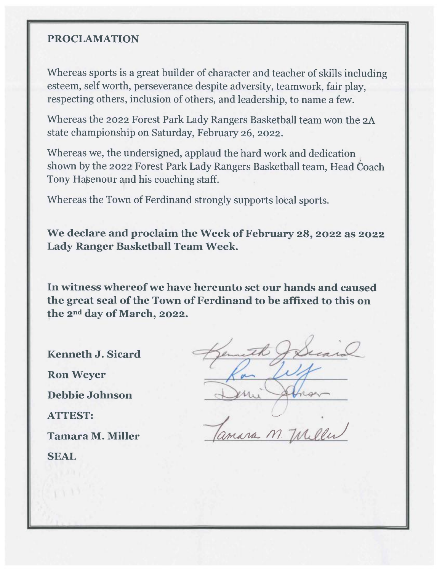# **PROCLANIATION**

Whereas sports is a great builder of character and teacher of skills including esteem, self worth, perseverance despite adversity, teamwork, fair play, respecting others, inclusion of others, and leadership, to name a few.

Whereas the 2022 Forest Park Lady Rangers Basketball team won the 2A state championship on Saturday, February 26, 2022.

Whereas we, the undersigned, applaud the hard work and dedication shown by the 2022 Forest Park Lady Rangers Basketball team, Head Coach Tony Hasenour and his coaching staff.

Whereas the Town of Ferdinand strongly supports local sports.

**We declare and proclaim the Week of February 28, 2022 as 2022 Lady Ranger Basketball Team Week.** 

**In witness whereof we have hereunto set our hands and caused the great seal of the Town of Ferdinand to be affixed to this on the 2ndday of March, 2022.** 

**Kenneth J. Sicard Ron Weyer Debbie Johnson ATTEST: Tamara M. Miller SEAL** 

Kenneth Jerra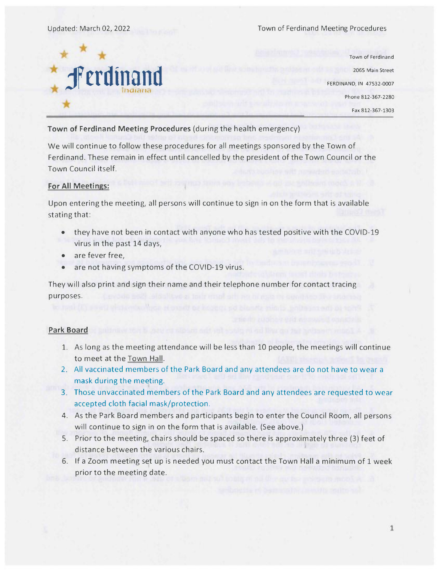

Town of Ferdinand 2065 Main Street FERDINAND, IN 47532-0007 Phone 812-367-2280 Fax 812-367-1303

# **Town of Ferdinand Meeting Procedures** (during the health emergency)

We will continue to follow these procedures for all meetings sponsored by the Town of Ferdinand. These remain in effect until cancelled by the president of the Town Council or the Town Council itself.

## **For All Meetings:**

Upon entering the meeting, all persons will continue to sign in on the form that is available stating that:

- they have not been in contact with anyone who has tested positive with the COVID-19 virus in the past 14 days,
- are fever free,
- are not having symptoms of the COVID-19 virus.

They will also print and sign their name and their telephone number for contact tracing purposes.

# **Park Board**

- 1. As long as the meeting attendance will be less than 10 people, the meetings will continue to meet at the Town Hall.
- 2. All vaccinated members of the Park Board and any attendees are do not have to wear a mask during the meeting.
- 3. Those unvaccinated members of the Park Board and any attendees are requested to wear accepted cloth facial mask/protection.
- 4. As the Park Board members and participants begin to enter the Council Room, all persons will continue to sign in on the form that is available. (See above.)
- 5. Prior to the meeting, chairs should be spaced so there is approximately three (3) feet of distance between the various chairs.
- 6. If a Zoom meeting set up is needed you must contact the Town Hall a minimum of 1 week prior to the meeting date.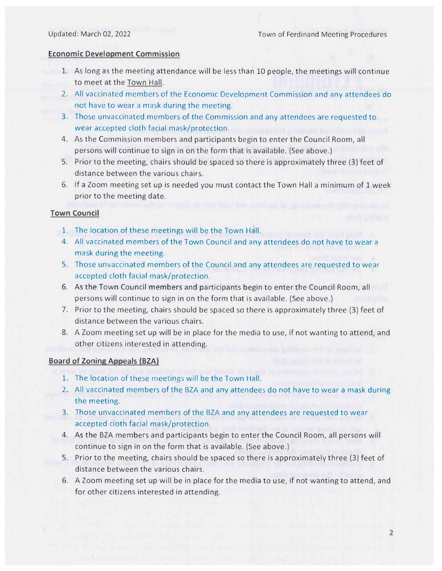#### **Economic Development Commission**

- 1. As long as the meeting attendance will be less than 10 people, the meetings will continue to meet at the Town Hall.
- 2. All vaccinated members of the Economic Development Commission and any attendees do not have to wear a mask during the meeting.
- 3. Those unvaccinated members of the Commission and any attendees are requested to wear accepted cloth facial mask/protection.
- 4. As the Commission members and participants begin to enter the Council Room, all persons will continue to sign in on the form that is available. (See above.)
- 5. Prior to the meeting, chairs should be spaced so there is approximately three (3) feet of distance between the various chairs.
- 6. lf a Zoom meeting set up is needed you must contact the Town Hall a minimum of 1 week prior to the meeting date.

#### **Town Council**

- 1. The location of these meetings will be the Town Hall.
- 4. All vaccinated members of the Town Council and any attendees do not have to wear a mask during the meeting.
- 5. Those unvaccinated members of the Council and any attendees are requested to wear accepted cloth facial mask/protection.
- 6. As the Town Council members and participants begin to enter the Council Room, all persons will continue to sign in on the form that is available. (See above.)
- 7. Prior to the meeting, chairs should be spaced so there is approximately three (3) feet of distance between the various chairs.
- 8. A Zoom meeting set up will be in place for the media to use, if not wanting to attend, and other citizens interested in attending.

#### **Board of Zoning Appeals (BZA)**

- 1. The location of these meetings will be the Town Hall.
- 2. All vaccinated members of the BZA and any attendees do not have to wear a mask during the meeting.
- 3. Those unvaccinated members of the BZA and any attendees are requested to wear accepted cloth facial mask/protection.
- 4. As the BZA members and participants begin to enter the Council Room, all persons will continue to sign in on the form that is available. (See above.)
- 5. Prior to the meeting, chairs should be spaced so there is approximately three (3) feet of distance between the various chairs.
- 6. A Zoom meeting set up will be in place for the media to use, if not wanting to attend, and for other citizens interested in attending.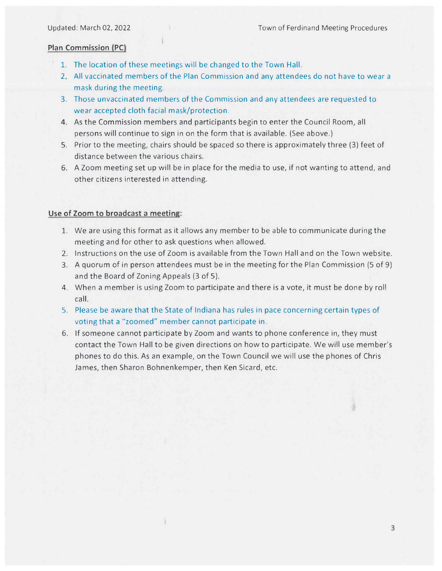# **Plan Commission (PC)**

- 1. The location of these meetings will be changed to the Town Hall.
- 2. All vaccinated members of the Plan Commission and any attendees do not have to wear a mask during the meeting.
- 3. Those unvaccinated members of the Commission and any attendees are requested to wear accepted cloth facial mask/protection.
- 4. As the Commission members and participants begin to enter the Council Room, all persons will continue to sign in on the form that is available. (See above.)
- 5. Prior to the meeting, chairs should be spaced so there is approximately three (3) feet of distance between the various chairs.
- 6. A Zoom meeting set up will be in place for the media to use, if not wanting to attend, and other citizens interested in attending.

# **Use of Zoom to broadcast a meeting:**

- 1. We are using this format as it allows any member to be able to communicate during the meeting and for other to ask questions when allowed.
- 2. Instructions on the use of Zoom is available from the Town Hall and on the Town website.
- 3. A quorum of in person attendees must be in the meeting for the Plan Commission (5 of 9) and the Board of Zoning Appeals (3 of 5).
- 4. When a member is using Zoom to participate and there is a vote, it must be done by roll call.
- 5. Please be aware that the State of Indiana has rules in pace concerning certain types of voting that a "zoomed" member cannot participate in.
- **6. If** someone cannot participate by Zoom and wants to phone conference in, they must contact the Town Hall to be given directions on how to participate. We will use member's phones to do this. As an example, on the Town Council we will use the phones of Chris James, then Sharon Bohnenkemper, then Ken Sicard, etc.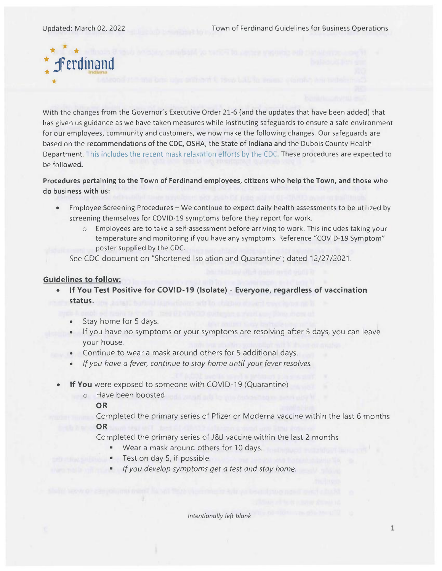Updated: March 02, 2022 Town of Ferdinand Guidelines for Business Operations



With the changes from the Governor's Executive Order 21-6 (and the updates that have been added) that has given us guidance as we have taken measures while instituting safeguards to ensure a safe environment for our employees, community and customers, we now make the following changes. Our safeguards are based on the **recommendations of the CDC, OSHA, the State of Indiana** and the Dubois County Health Department. This includes the recent mask relaxation efforts by the CDC. These procedures are expected to be followed.

**Procedures pertaining to the Town of Ferdinand employees, citizens who help the Town, and those who do business with us:** 

- Employee Screening Procedures We continue to expect daily health assessments to be utilized by screening themselves for COVID-19 symptoms before they report for work.
	- o Employees are to take a self-assessment before arriving to work. This includes taking your temperature and monitoring if you have any symptoms. Reference "COVID-19 Symptom" poster supplied by the CDC.
	- See CDC document on "Shortened Isolation and Quarantine"; dated 12/27/2021.

## **Guidelines to follow:**

- **If You Test Positive for COVID-19 (Isolate) Everyone, regardless of vaccination status.** 
	- Stay home for 5 days.
	- If you have no symptoms or your symptoms are resolving after 5 days, you can leave your house.
	- Continue to wear a mask around others for 5 additional days.
	- *If you have a fever, continue to stay home until your fever resolves.*
- **If You** were exposed to someone with COVID-19 (Quarantine)
	- o Have been boosted

**OR** 

Completed the primary series of Pfizer or Moderna vaccine within the last 6 months **OR** 

Completed the primary series of J&J vaccine within the last 2 months

- Wear a mask around others for 10 days.
- Test on day 5, if possible.
- *If you develop symptoms get a test and stay home.*

*Intentionally left blank*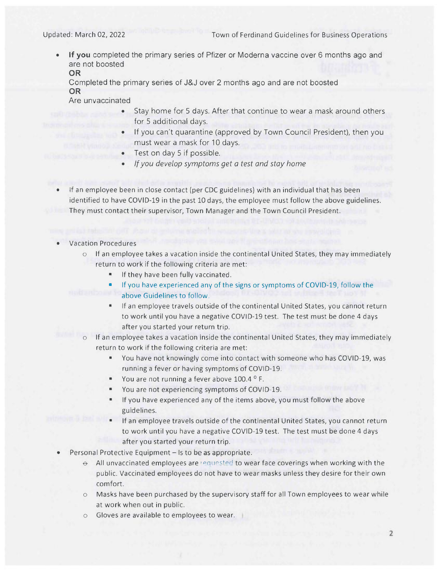**• lf you** completed the primary series of Pfizer or Moderna vaccine over 6 months ago and are not boosted **OR** 

Completed the primary series of J&J over 2 months ago and are not boosted **OR** 

Are unvaccinated

- Stay home for 5 days. After that continue to wear a mask around others for 5 additional days.
- If you can't quarantine (approved by Town Council President), then you must wear a mask for 10 days.
	- Test on day 5 if possible.
- *lf you develop symptoms get a test and stay home*

• If an employee been in close contact (per CDC guidelines) with an individual that has been identified to have COVID-19 in the past 10 days, the employee must follow the above guidelines. They must contact their supervisor, Town Manager and the Town Council President.

# • Vacation Procedures

 $\circ$  If an employee takes a vacation inside the continental United States, they may immediately return to work if the following criteria are met:

If they have been fully vaccinated.

• lf you have experienced any of the signs or symptoms of COVID-19, follow the above Guidelines to follow.

- lf an employee travels outside of the continental United States, you cannot return to work until you have a negative COVID-19 test. The test must be done 4 days after you started your return trip.
- o lf an employee takes a vacation inside the continental United States, they may immediately return to work if the following criteria are met:
	- You have not knowingly come into contact with someone who has COVID-19, was running a fever or having symptoms of COVID-19.
	- You are not running a fever above 100.4 ° F.
	- You are not experiencing symptoms of COVID-19.
	- If you have experienced any of the items above, you must follow the above guidelines.
	- lf an employee travels outside of the continental United States, you cannot return to work until you have a negative COVID-19 test. The test must be done 4 days after you started your return trip.
- Personal Protective Equipment Is to be as appropriate.
	- $\Theta$  All unvaccinated employees are requested to wear face coverings when working with the public. Vaccinated employees do not have to wear masks unless they desire for their own comfort.
	- $\circ$  Masks have been purchased by the supervisory staff for all Town employees to wear while at work when out in public.
	- Gloves are available to employees to wear.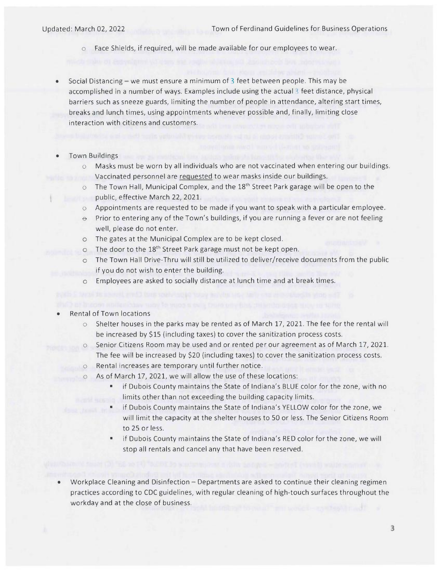o Face Shields, if required, will be made available for our employees to wear.

- 
- Social Distancing we must ensure a minimum of  $3$  feet between people. This may be accomplished in a number of ways. Examples include using the actual  $\beta$  feet distance, physical barriers such as sneeze guards, limiting the number of people in attendance, altering start times, breaks and lunch times, using appointments whenever possible and, finally, limiting close interaction with citizens and customers.
- Town Buildings
	- $\circ$  Masks must be worn by all individuals who are not vaccinated when entering our buildings. Vaccinated personnel are requested to wear masks inside our buildings.
	- $\circ$  The Town Hall, Municipal Complex, and the 18<sup>th</sup> Street Park garage will be open to the public, effective March 22, 2021.
	- $\circ$  Appointments are requested to be made if you want to speak with a particular employee.
	- $\Theta$  Prior to entering any of the Town's buildings, if you are running a fever or are not feeling well, please do not enter.
	- o The gates at the Municipal Complex are to be kept closed.
	- o The door to the 18<sup>th</sup> Street Park garage must not be kept open.
	- o The Town Hall Drive-Thru will still be utilized to deliver/receive documents from the public if you do not wish to enter the building.
	- o Employees are asked to socially distance at lunch time and at break times.
- Rental of Town locations
	- o Shelter houses in the parks may be rented as of March 17, 2021. The fee for the rental will be increased by \$15 (including taxes) to cover the sanitization process costs.
	- o Senior Citizens Room may be used and or rented per our agreement as of March 17, 2021. The fee will be increased by \$20 (including taxes) to cover the sanitization process costs.
	- o Rental increases are temporary until further notice.
		- o As of March 17, 2021, we will allow the use of these locations:
			- if Dubois County maintains the State of Indiana's BLUE color for the zone, with no limits other than not exceeding the building capacity limits.
			- if Dubois County maintains the State of Indiana's YELLOW color for the zone, we will limit the capacity at the shelter houses to 50 or less. The Senior Citizens Room to 25 or less.
			- if Dubois County maintains the State of Indiana's RED color for the zone, we will stop all rentals and cancel any that have been reserved.
- Workplace Cleaning and Disinfection Departments are asked to continue their cleaning regimen practices according to CDC guidelines, with regular cleaning of high-touch surfaces throughout the workday and at the close of business.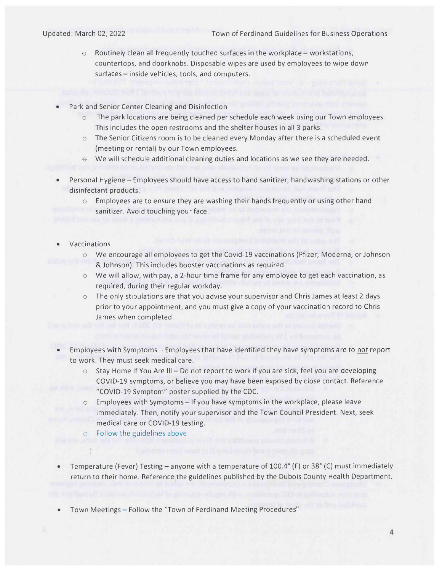Updated: March 02, 2022 Town of Ferdinand Guidelines for Business Operations

- $\circ$  Routinely clean all frequently touched surfaces in the workplace workstations, countertops, and doorknobs. Disposable wipes are used by employees to wipe down surfaces — inside vehicles, tools, and computers.
- Park and Senior Center Cleaning and Disinfection
	- o The park locations are being cleaned per schedule each week using our Town employees. This includes the open restrooms and the shelter houses in all 3 parks.
	- $\circ$  The Senior Citizens room is to be cleaned every Monday after there is a scheduled event (meeting or rental) by our Town employees.
	- We will schedule additional cleaning duties and locations as we see they are needed.
- Personal Hygiene Employees should have access to hand sanitizer, handwashing stations or other disinfectant products.

o Employees are to ensure they are washing their hands frequently or using other hand sanitizer. Avoid touching your face.

- Vaccinations
	- o We encourage all employees to get the Covid-19 vaccinations (Pfizer; Moderna, or Johnson & Johnson). This includes booster vaccinations as required.
	- o We will allow, with pay, a 2-hour time frame for any employee to get each vaccination, as required, during their regular workday.
	- $\circ$  The only stipulations are that you advise your supervisor and Chris James at least 2 days prior to your appointment; and you must give a copy of your vaccination record to Chris James when completed.
- Employees with Symptoms Employees that have identified they have symptoms are to not report to work. They must seek medical care.
	- $\circ$  Stay Home If You Are III Do not report to work if you are sick, feel you are developing COVID-19 symptoms, or believe you may have been exposed by close contact. Reference "COVID-19 Symptom" poster supplied by the CDC.
	- o Employees with Symptoms If you have symptoms in the workplace, please leave immediately. Then, notify your supervisor and the Town Council President. Next, seek medical care or COVID-19 testing.
	- o Follow the guidelines above.
- Temperature (Fever) Testing anyone with a temperature of 100.4° (F) or 38° (C) must imnnediately return to their home. Reference the guidelines published by the Dubois County Health Department.

• Town Meetings — Follow the "Town of Ferdinand Meeting Procedures"